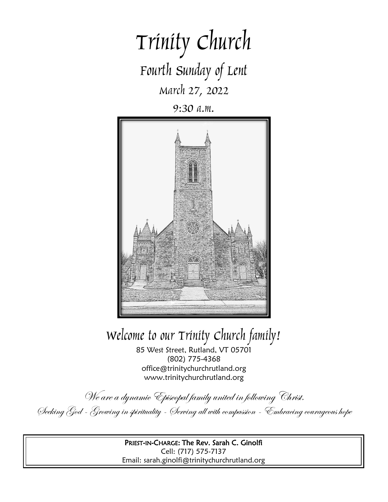# Trinity Church Fourth Sunday of Lent March 27, 2022

9:30 a.m.



## Welcome to our Trinity Church family!

85 West Street, Rutland, VT 05701 (802) 775-4368 office@trinitychurchrutland.org www.trinitychurchrutland.org

We are a dynamic Episcopal family united in following Christ. Seeking God - Growing in spirituality - Serving all with compassion - Embracing courageous hope

> PRIEST-IN-CHARGE: The Rev. Sarah C. Ginolfi Cell: (717) 575-7137 Email: sarah.ginolfi@trinitychurchrutland.org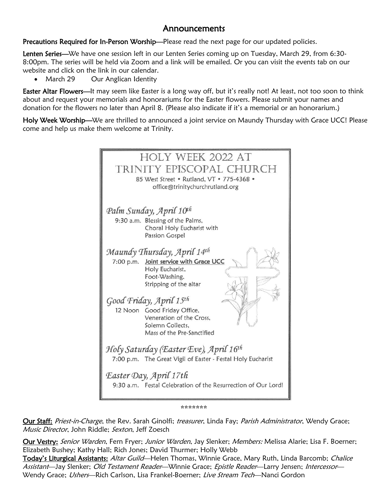### Announcements

Precautions Required for In-Person Worship—Please read the next page for our updated policies.

Lenten Series—We have one session left in our Lenten Series coming up on Tuesday, March 29, from 6:30- 8:00pm. The series will be held via Zoom and a link will be emailed. Or you can visit the events tab on our website and click on the link in our calendar.

March 29 Our Anglican Identity

Easter Altar Flowers—It may seem like Easter is a long way off, but it's really not! At least, not too soon to think about and request your memorials and honorariums for the Easter flowers. Please submit your names and donation for the flowers no later than April 8. (Please also indicate if it's a memorial or an honorarium.)

Holy Week Worship—We are thrilled to announced a joint service on Maundy Thursday with Grace UCC! Please come and help us make them welcome at Trinity.



\*\*\*\*\*\*\*

Our Staff: Priest-in-Charge, the Rev. Sarah Ginolfi; treasurer, Linda Fay; Parish Administrator, Wendy Grace; Music Director, John Riddle; Sexton, Jeff Zoesch

Our Vestry: Senior Warden, Fern Fryer; Junior Warden, Jay Slenker; Members: Melissa Alarie; Lisa F. Boerner; Elizabeth Bushey; Kathy Hall; Rich Jones; David Thurmer; Holly Webb

Today's Liturgical Assistants: Altar Guild—Helen Thomas, Winnie Grace, Mary Ruth, Linda Barcomb; Chalice Assistant—Jay Slenker; Old Testament Reader—Winnie Grace; Epistle Reader—Larry Jensen; Intercessor— Wendy Grace: *Ushers*—Rich Carlson, Lisa Frankel-Boerner: *Live Stream Tech*—Nanci Gordon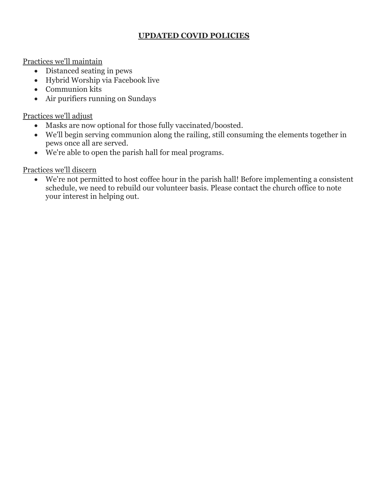### **UPDATED COVID POLICIES**

Practices we'll maintain

- Distanced seating in pews
- Hybrid Worship via Facebook live
- Communion kits
- Air purifiers running on Sundays

Practices we'll adjust

- Masks are now optional for those fully vaccinated/boosted.
- We'll begin serving communion along the railing, still consuming the elements together in pews once all are served.
- We're able to open the parish hall for meal programs.

Practices we'll discern

• We're not permitted to host coffee hour in the parish hall! Before implementing a consistent schedule, we need to rebuild our volunteer basis. Please contact the church office to note your interest in helping out.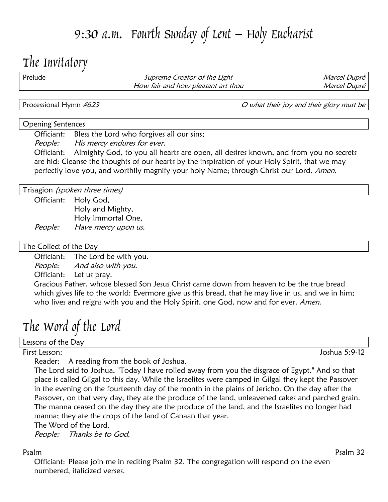## 9:30 a.m. Fourth Sunday of Lent – Holy Eucharist

## The Invitatory

Prelude **Supreme Creator of the Light** Marcel Dupré How fair and how pleasant art thou Marcel Dupré

Processional Hymn #623 **O** what their joy and their glory must be

Opening Sentences

Officiant: Bless the Lord who forgives all our sins;

People: His mercy endures for ever.

Officiant: Almighty God, to you all hearts are open, all desires known, and from you no secrets are hid: Cleanse the thoughts of our hearts by the inspiration of your Holy Spirit, that we may perfectly love you, and worthily magnify your holy Name; through Christ our Lord. Amen.

Trisagion (spoken three times)

Officiant: Holy God, Holy and Mighty, Holy Immortal One, People: Have mercy upon us.

### The Collect of the Day

Officiant: The Lord be with you. People: And also with you. Officiant: Let us pray.

Gracious Father, whose blessed Son Jesus Christ came down from heaven to be the true bread which gives life to the world: Evermore give us this bread, that he may live in us, and we in him; who lives and reigns with you and the Holy Spirit, one God, now and for ever. Amen.

## The Word of the Lord

Lessons of the Day

First Lesson: Joshua 5:9-12

Reader: A reading from the book of Joshua.

The Lord said to Joshua, "Today I have rolled away from you the disgrace of Egypt." And so that place is called Gilgal to this day. While the Israelites were camped in Gilgal they kept the Passover in the evening on the fourteenth day of the month in the plains of Jericho. On the day after the Passover, on that very day, they ate the produce of the land, unleavened cakes and parched grain. The manna ceased on the day they ate the produce of the land, and the Israelites no longer had manna; they ate the crops of the land of Canaan that year.

The Word of the Lord.

People: Thanks be to God.

Officiant: Please join me in reciting Psalm 32. The congregation will respond on the even numbered, italicized verses.

Psalm Psalm 32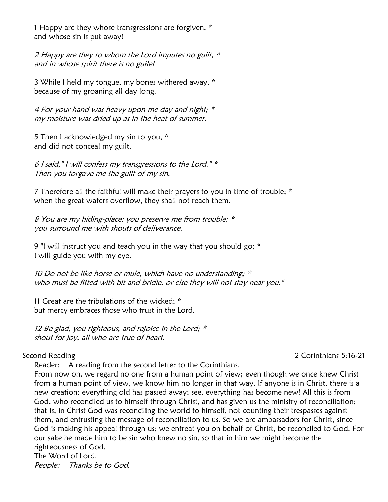1 Happy are they whose transgressions are forgiven, \* and whose sin is put away!

2 Happy are they to whom the Lord imputes no guilt, \* and in whose spirit there is no guile!

3 While I held my tongue, my bones withered away, \* because of my groaning all day long.

4 For your hand was heavy upon me day and night; \* my moisture was dried up as in the heat of summer.

5 Then I acknowledged my sin to you, \* and did not conceal my guilt.

6 I said," I will confess my transgressions to the Lord." \* Then you forgave me the guilt of my sin.

7 Therefore all the faithful will make their prayers to you in time of trouble; \* when the great waters overflow, they shall not reach them.

8 You are my hiding-place; you preserve me from trouble; \* you surround me with shouts of deliverance.

9 "I will instruct you and teach you in the way that you should go; \* I will guide you with my eye.

10 Do not be like horse or mule, which have no understanding; \* who must be fitted with bit and bridle, or else they will not stay near you."

11 Great are the tribulations of the wicked; \* but mercy embraces those who trust in the Lord.

12 Be glad, you righteous, and rejoice in the Lord; \* shout for joy, all who are true of heart.

Second Reading 2 Corinthians 5:16-21

Reader: A reading from the second letter to the Corinthians.

From now on, we regard no one from a human point of view; even though we once knew Christ from a human point of view, we know him no longer in that way. If anyone is in Christ, there is a new creation: everything old has passed away; see, everything has become new! All this is from God, who reconciled us to himself through Christ, and has given us the ministry of reconciliation; that is, in Christ God was reconciling the world to himself, not counting their trespasses against them, and entrusting the message of reconciliation to us. So we are ambassadors for Christ, since God is making his appeal through us; we entreat you on behalf of Christ, be reconciled to God. For our sake he made him to be sin who knew no sin, so that in him we might become the righteousness of God.

The Word of Lord. People: Thanks be to God.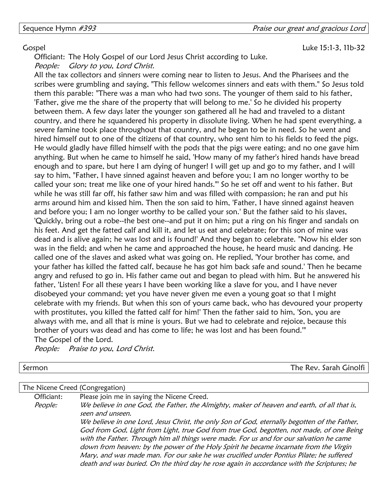Gospel Luke 15:1-3, 11b-32

Officiant: The Holy Gospel of our Lord Jesus Christ according to Luke. People: Glory to you, Lord Christ.

All the tax collectors and sinners were coming near to listen to Jesus. And the Pharisees and the scribes were grumbling and saying, "This fellow welcomes sinners and eats with them." So Jesus told them this parable: "There was a man who had two sons. The younger of them said to his father, 'Father, give me the share of the property that will belong to me.' So he divided his property between them. A few days later the younger son gathered all he had and traveled to a distant country, and there he squandered his property in dissolute living. When he had spent everything, a severe famine took place throughout that country, and he began to be in need. So he went and hired himself out to one of the citizens of that country, who sent him to his fields to feed the pigs. He would gladly have filled himself with the pods that the pigs were eating; and no one gave him anything. But when he came to himself he said, 'How many of my father's hired hands have bread enough and to spare, but here I am dying of hunger! I will get up and go to my father, and I will say to him, "Father, I have sinned against heaven and before you; I am no longer worthy to be called your son; treat me like one of your hired hands."' So he set off and went to his father. But while he was still far off, his father saw him and was filled with compassion; he ran and put his arms around him and kissed him. Then the son said to him, 'Father, I have sinned against heaven and before you; I am no longer worthy to be called your son.' But the father said to his slaves, 'Quickly, bring out a robe--the best one--and put it on him; put a ring on his finger and sandals on his feet. And get the fatted calf and kill it, and let us eat and celebrate; for this son of mine was dead and is alive again; he was lost and is found!' And they began to celebrate. "Now his elder son was in the field; and when he came and approached the house, he heard music and dancing. He called one of the slaves and asked what was going on. He replied, 'Your brother has come, and your father has killed the fatted calf, because he has got him back safe and sound.' Then he became angry and refused to go in. His father came out and began to plead with him. But he answered his father, 'Listen! For all these years I have been working like a slave for you, and I have never disobeyed your command; yet you have never given me even a young goat so that I might celebrate with my friends. But when this son of yours came back, who has devoured your property with prostitutes, you killed the fatted calf for him!' Then the father said to him, 'Son, you are always with me, and all that is mine is yours. But we had to celebrate and rejoice, because this brother of yours was dead and has come to life; he was lost and has been found.'"

The Gospel of the Lord.

People: Praise to you, Lord Christ.

Sermon The Rev. Sarah Ginolfi

### The Nicene Creed (Congregation)

| Officiant: | Please join me in saying the Nicene Creed.                                                   |
|------------|----------------------------------------------------------------------------------------------|
| People:    | We believe in one God, the Father, the Almighty, maker of heaven and earth, of all that is,  |
|            | seen and unseen.                                                                             |
|            | We believe in one Lord, Jesus Christ, the only Son of God, eternally begotten of the Father, |
|            | God from God, Light from Light, true God from true God, begotten, not made, of one Being     |
|            | with the Father. Through him all things were made. For us and for our salvation he came      |
|            | down from heaven: by the power of the Holy Spirit he became incarnate from the Virgin        |
|            | Mary, and was made man. For our sake he was crucified under Pontius Pilate; he suffered      |
|            | death and was buried. On the third day he rose again in accordance with the Scriptures; he   |
|            |                                                                                              |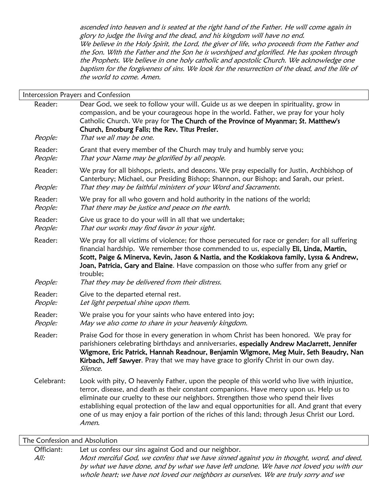ascended into heaven and is seated at the right hand of the Father. He will come again in glory to judge the living and the dead, and his kingdom will have no end. We believe in the Holy Spirit, the Lord, the giver of life, who proceeds from the Father and the Son. With the Father and the Son he is worshiped and glorified. He has spoken through the Prophets. We believe in one holy catholic and apostolic Church. We acknowledge one baptism for the forgiveness of sins. We look for the resurrection of the dead, and the life of the world to come. Amen.

| Intercession Prayers and Confession |                                                                                                                                                                                                                                                                                                                                                                                                                                                                                          |  |
|-------------------------------------|------------------------------------------------------------------------------------------------------------------------------------------------------------------------------------------------------------------------------------------------------------------------------------------------------------------------------------------------------------------------------------------------------------------------------------------------------------------------------------------|--|
| Reader:<br>People:                  | Dear God, we seek to follow your will. Guide us as we deepen in spirituality, grow in<br>compassion, and be your courageous hope in the world. Father, we pray for your holy<br>Catholic Church. We pray for The Church of the Province of Myanmar; St. Matthew's<br>Church, Enosburg Falls; the Rev. Titus Presler.<br>That we all may be one.                                                                                                                                          |  |
| Reader:<br>People:                  | Grant that every member of the Church may truly and humbly serve you;<br>That your Name may be glorified by all people.                                                                                                                                                                                                                                                                                                                                                                  |  |
| Reader:<br>People:                  | We pray for all bishops, priests, and deacons. We pray especially for Justin, Archbishop of<br>Canterbury; Michael, our Presiding Bishop; Shannon, our Bishop; and Sarah, our priest.<br>That they may be faithful ministers of your Word and Sacraments.                                                                                                                                                                                                                                |  |
| Reader:<br>People:                  | We pray for all who govern and hold authority in the nations of the world;<br>That there may be justice and peace on the earth.                                                                                                                                                                                                                                                                                                                                                          |  |
| Reader:<br>People:                  | Give us grace to do your will in all that we undertake;<br>That our works may find favor in your sight.                                                                                                                                                                                                                                                                                                                                                                                  |  |
| Reader:                             | We pray for all victims of violence; for those persecuted for race or gender; for all suffering<br>financial hardship. We remember those commended to us, especially Eli, Linda, Martin,<br>Scott, Paige & Minerva, Kevin, Jason & Nastia, and the Koskiakova family, Lyssa & Andrew,<br>Joan, Patricia, Gary and Elaine. Have compassion on those who suffer from any grief or<br>trouble;                                                                                              |  |
| People:                             | That they may be delivered from their distress.                                                                                                                                                                                                                                                                                                                                                                                                                                          |  |
| Reader:<br>People:                  | Give to the departed eternal rest.<br>Let light perpetual shine upon them.                                                                                                                                                                                                                                                                                                                                                                                                               |  |
| Reader:<br>People:                  | We praise you for your saints who have entered into joy;<br>May we also come to share in your heavenly kingdom.                                                                                                                                                                                                                                                                                                                                                                          |  |
| Reader:                             | Praise God for those in every generation in whom Christ has been honored. We pray for<br>parishioners celebrating birthdays and anniversaries, especially Andrew MacJarrett, Jennifer<br>Wigmore, Eric Patrick, Hannah Readnour, Benjamin Wigmore, Meg Muir, Seth Beaudry, Nan<br>Kirbach, Jeff Sawyer. Pray that we may have grace to glorify Christ in our own day.<br>Silence.                                                                                                        |  |
| Celebrant:                          | Look with pity, O heavenly Father, upon the people of this world who live with injustice,<br>terror, disease, and death as their constant companions. Have mercy upon us. Help us to<br>eliminate our cruelty to these our neighbors. Strengthen those who spend their lives<br>establishing equal protection of the law and equal opportunities for all. And grant that every<br>one of us may enjoy a fair portion of the riches of this land; through Jesus Christ our Lord.<br>Amen. |  |

The Confession and Absolution

Officiant: Let us confess our sins against God and our neighbor.

All: Most merciful God, we confess that we have sinned against you in thought, word, and deed, by what we have done, and by what we have left undone. We have not loved you with our whole heart; we have not loved our neighbors as ourselves. We are truly sorry and we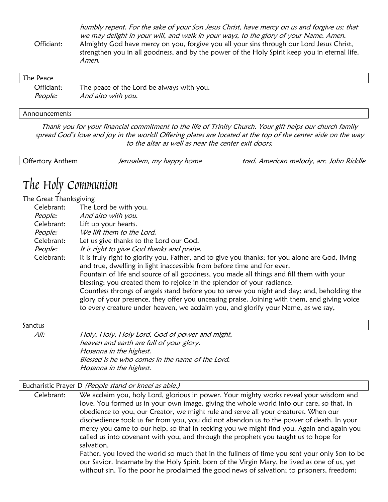humbly repent. For the sake of your Son Jesus Christ, have mercy on us and forgive us; that we may delight in your will, and walk in your ways, to the glory of your Name. Amen. Officiant: Almighty God have mercy on you, forgive you all your sins through our Lord Jesus Christ, strengthen you in all goodness, and by the power of the Holy Spirit keep you in eternal life. Amen.

| The Peace      |                                           |
|----------------|-------------------------------------------|
| Officiant:     | The peace of the Lord be always with you. |
| <i>People:</i> | And also with you.                        |

### Announcements

Thank you for your financial commitment to the life of Trinity Church. Your gift helps our church family spread God's love and joy in the world! Offering plates are located at the top of the center aisle on the way to the altar as well as near the center exit doors.

| <b>Offertory Anthem</b> | Jerusalem, my happy home | trad. American melody, arr. John Riddle |
|-------------------------|--------------------------|-----------------------------------------|
|                         |                          |                                         |

## The Holy Communion

The Great Thanksgiving

| Celebrant: | The Lord be with you.                                                                           |
|------------|-------------------------------------------------------------------------------------------------|
| People:    | And also with you.                                                                              |
| Celebrant: | Lift up your hearts.                                                                            |
| People:    | We lift them to the Lord.                                                                       |
| Celebrant: | Let us give thanks to the Lord our God.                                                         |
| People:    | It is right to give God thanks and praise.                                                      |
| Celebrant: | It is truly right to glorify you, Father, and to give you thanks; for you alone are God, living |
|            | and true, dwelling in light inaccessible from before time and for ever.                         |
|            | Fountain of life and source of all goodness, you made all things and fill them with your        |
|            | blessing; you created them to rejoice in the splendor of your radiance.                         |
|            | Countless throngs of angels stand before you to serve you night and day; and, beholding the     |
|            | glory of your presence, they offer you unceasing praise. Joining with them, and giving voice    |
|            | to every creature under heaven, we acclaim you, and glorify your Name, as we say,               |
|            |                                                                                                 |

### Sanctus

All: Holy, Holy, Holy Lord, God of power and might, heaven and earth are full of your glory. Hosanna in the highest. Blessed is he who comes in the name of the Lord. Hosanna in the highest.

### Eucharistic Prayer D (People stand or kneel as able.)

Celebrant: We acclaim you, holy Lord, glorious in power. Your mighty works reveal your wisdom and love. You formed us in your own image, giving the whole world into our care, so that, in obedience to you, our Creator, we might rule and serve all your creatures. When our disobedience took us far from you, you did not abandon us to the power of death. In your mercy you came to our help, so that in seeking you we might find you. Again and again you called us into covenant with you, and through the prophets you taught us to hope for salvation.

Father, you loved the world so much that in the fullness of time you sent your only Son to be our Savior. Incarnate by the Holy Spirit, born of the Virgin Mary, he lived as one of us, yet without sin. To the poor he proclaimed the good news of salvation; to prisoners, freedom;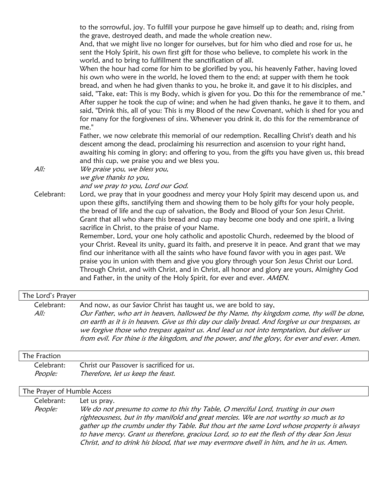to the sorrowful, joy. To fulfill your purpose he gave himself up to death; and, rising from the grave, destroyed death, and made the whole creation new.

And, that we might live no longer for ourselves, but for him who died and rose for us, he sent the Holy Spirit, his own first gift for those who believe, to complete his work in the world, and to bring to fulfillment the sanctification of all.

When the hour had come for him to be glorified by you, his heavenly Father, having loved his own who were in the world, he loved them to the end; at supper with them he took bread, and when he had given thanks to you, he broke it, and gave it to his disciples, and said, "Take, eat: This is my Body, which is given for you. Do this for the remembrance of me." After supper he took the cup of wine; and when he had given thanks, he gave it to them, and said, "Drink this, all of you: This is my Blood of the new Covenant, which is shed for you and for many for the forgiveness of sins. Whenever you drink it, do this for the remembrance of me."

Father, we now celebrate this memorial of our redemption. Recalling Christ's death and his descent among the dead, proclaiming his resurrection and ascension to your right hand, awaiting his coming in glory; and offering to you, from the gifts you have given us, this bread and this cup, we praise you and we bless you.

All: We praise you, we bless you,

we give thanks to you,

and we pray to you, Lord our God.

Celebrant: Lord, we pray that in your goodness and mercy your Holy Spirit may descend upon us, and upon these gifts, sanctifying them and showing them to be holy gifts for your holy people, the bread of life and the cup of salvation, the Body and Blood of your Son Jesus Christ. Grant that all who share this bread and cup may become one body and one spirit, a living sacrifice in Christ, to the praise of your Name.

> Remember, Lord, your one holy catholic and apostolic Church, redeemed by the blood of your Christ. Reveal its unity, guard its faith, and preserve it in peace. And grant that we may find our inheritance with all the saints who have found favor with you in ages past. We praise you in union with them and give you glory through your Son Jesus Christ our Lord. Through Christ, and with Christ, and in Christ, all honor and glory are yours, Almighty God and Father, in the unity of the Holy Spirit, for ever and ever. AMEN.

### The Lord's Prayer Celebrant: And now, as our Savior Christ has taught us, we are bold to say, All: Our Father, who art in heaven, hallowed be thy Name, thy kingdom come, thy will be done, on earth as it is in heaven. Give us this day our daily bread. And forgive us our trespasses, as we forgive those who trespass against us. And lead us not into temptation, but deliver us from evil. For thine is the kingdom, and the power, and the glory, for ever and ever. Amen.

### The Fraction

| Celebrant:     | Christ our Passover is sacrificed for us. |
|----------------|-------------------------------------------|
| <i>People:</i> | Therefore, let us keep the feast.         |

### The Prayer of Humble Access

Celebrant: Let us pray. People: We do not presume to come to this thy Table, O merciful Lord, trusting in our own righteousness, but in thy manifold and great mercies. We are not worthy so much as to gather up the crumbs under thy Table. But thou art the same Lord whose property is always to have mercy. Grant us therefore, gracious Lord, so to eat the flesh of thy dear Son Jesus Christ, and to drink his blood, that we may evermore dwell in him, and he in us. Amen.